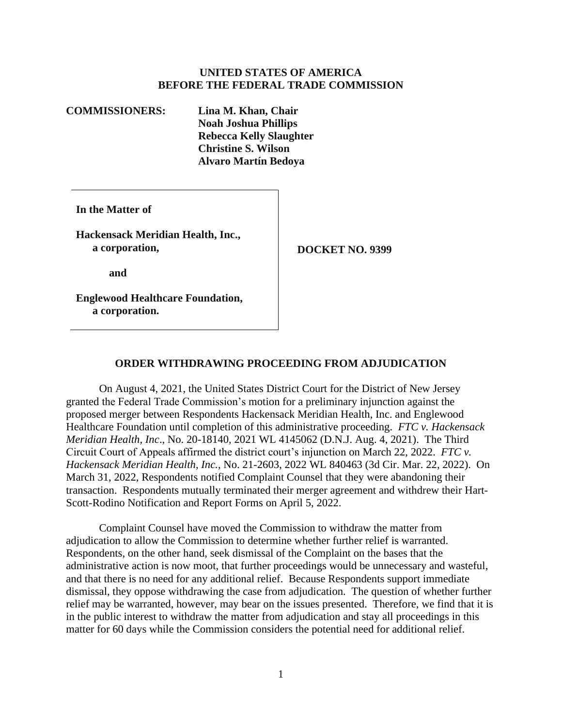## **UNITED STATES OF AMERICA BEFORE THE FEDERAL TRADE COMMISSION**

**COMMISSIONERS: Lina M. Khan, Chair Noah Joshua Phillips Rebecca Kelly Slaughter Christine S. Wilson Alvaro Martín Bedoya** 

**In the Matter of** 

**Hackensack Meridian Health, Inc.,**  a corporation, **DOCKET NO. 9399** 

**and** 

**Englewood Healthcare Foundation, a corporation.** 

## **ORDER WITHDRAWING PROCEEDING FROM ADJUDICATION**

On August 4, 2021, the United States District Court for the District of New Jersey granted the Federal Trade Commission's motion for a preliminary injunction against the proposed merger between Respondents Hackensack Meridian Health, Inc. and Englewood Healthcare Foundation until completion of this administrative proceeding. *FTC v. Hackensack Meridian Health, Inc*., No. 20-18140, 2021 WL 4145062 (D.N.J. Aug. 4, 2021). The Third Circuit Court of Appeals affirmed the district court's injunction on March 22, 2022. *FTC v. Hackensack Meridian Health*, *Inc.*, No. 21-2603, 2022 WL 840463 (3d Cir. Mar. 22, 2022). On March 31, 2022, Respondents notified Complaint Counsel that they were abandoning their transaction. Respondents mutually terminated their merger agreement and withdrew their Hart-Scott-Rodino Notification and Report Forms on April 5, 2022.

 adjudication to allow the Commission to determine whether further relief is warranted. Complaint Counsel have moved the Commission to withdraw the matter from Respondents, on the other hand, seek dismissal of the Complaint on the bases that the administrative action is now moot, that further proceedings would be unnecessary and wasteful, and that there is no need for any additional relief. Because Respondents support immediate dismissal, they oppose withdrawing the case from adjudication. The question of whether further relief may be warranted, however, may bear on the issues presented. Therefore, we find that it is in the public interest to withdraw the matter from adjudication and stay all proceedings in this matter for 60 days while the Commission considers the potential need for additional relief.